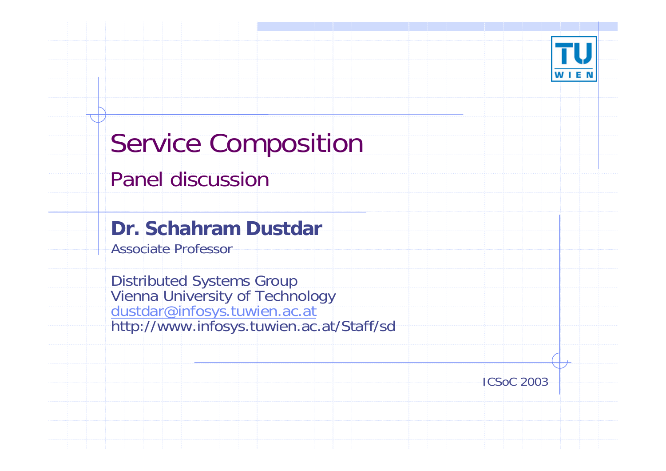

# Service Composition

#### Panel discussion

#### **Dr. Schahram Dustdar**

Associate Professor

Dis tributed Systems Group Vienna University of Technology [dustdar@infosys.tuwien.ac.at](mailto:dustdar@infosys.tuwien.ac.at)<br>http://www.infosys.tuwien.ac.at/Staff/sd

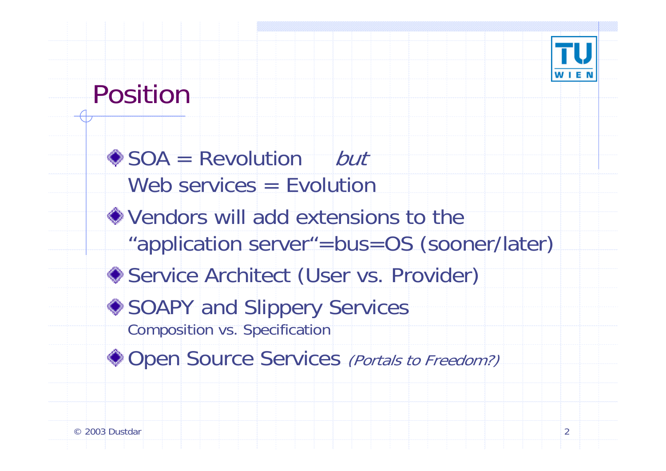

### Position

SOA = Revolution but Web services = EvolutionVendors will add extensions to the "application server"=bus=OS (sooner/later) Service Architect (User vs. Provider) ◆ SOAPY and Slippery Services Composition vs. Specification ◆ Open Source Services (Portals to Freedom?)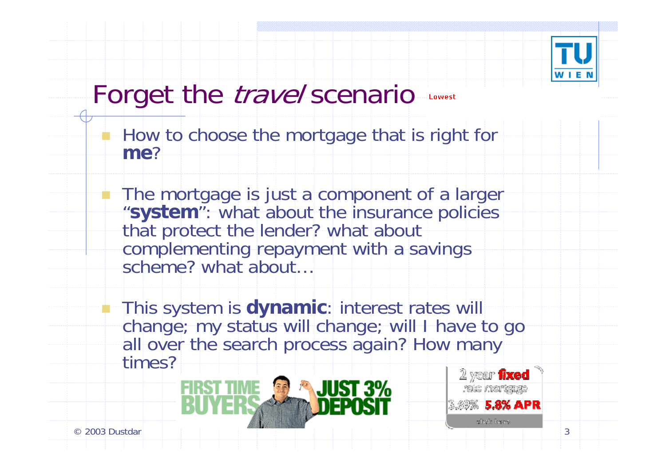

### Forget the *travel* scenario

 How to choose the mortgage that is right for **me**?

**The mortgage is just a component of a larger** "**system**": what about the insurance policies that protect the lender? what about complementing repayment with a savings scheme? what about…

**This system is dynamic: interest rates will** change; my status will change; will I have to go all over the search process again? How many times?



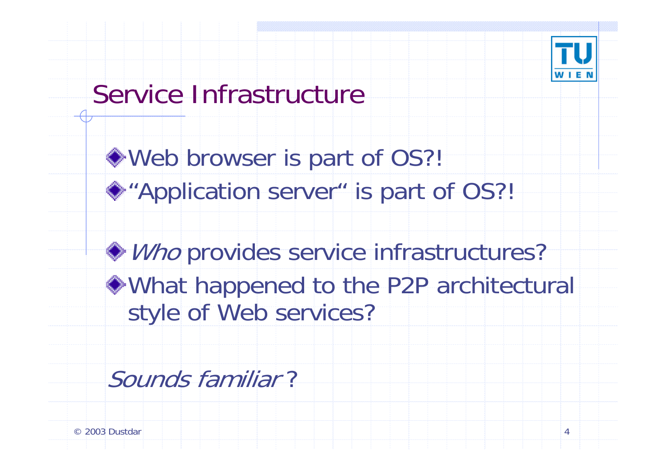

### Service Infrastructure

Web browser is part of OS?! ◆"Application server" is part of OS?!

Who provides service infrastructures? What happened to the P2P architectural style of Web services?

Sounds familiar ?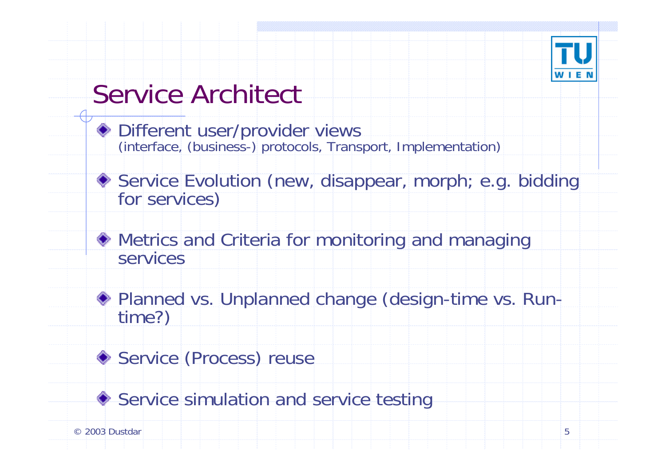

## Service Architect

- Different user/provider views (interface, (business-) protocols, Transport, Implementation)
- ◆ Service Evolution (new, disappear, morph; e.g. bidding for services)
- Metrics and Criteria for monitoring and managing services
- Planned vs. Unplanned change (design-time vs. Run-<br>time?)
- Service (Process) reuse
- Service simulation and service testing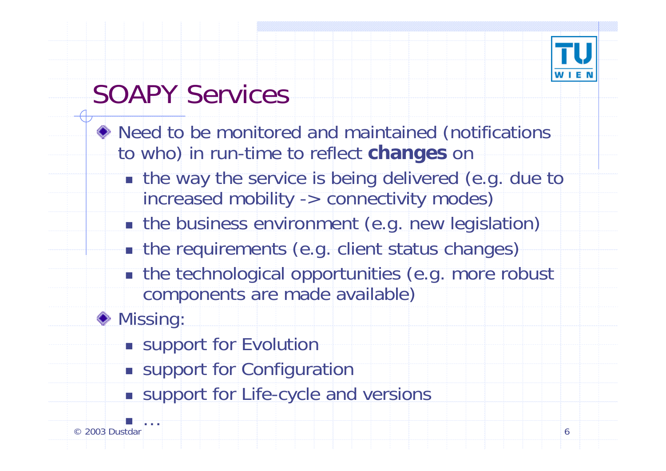

## SOAPY Services

- Need to be monitored and maintained (notifications to who) in run-time to reflect **changes** on
	- **the way the service is being delivered (e.g. due to** increased mobility -> connectivity modes)
	- **n** the business environment (e.g. new legislation)
	- **n** the requirements (e.g. client status changes)
	- **n** the technological opportunities (e.g. more robust components are made available)
- ◆ Missing:
	- **Support for Evolution**
	- **Example 1 Support for Configuration**
	- **Example 1 Support for Life-cycle and versions**

m.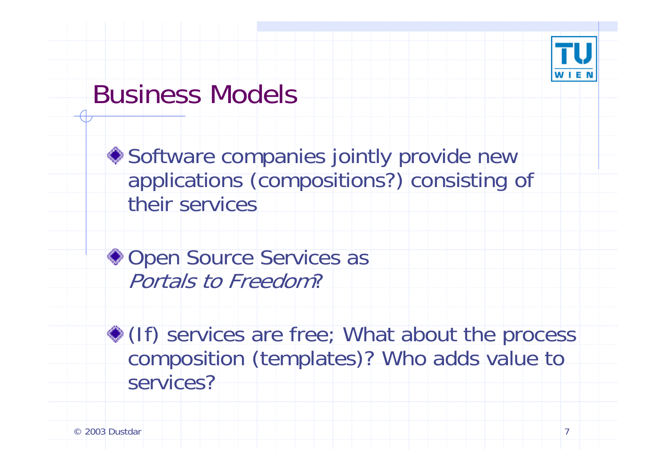

### Business Models

◆ Software companies jointly provide new applications (compositions?) consisting of their services

◆ Open Source Services as Portals to Freedom?

(If) services are free; What about the process composition (templates)? Who adds value to services?